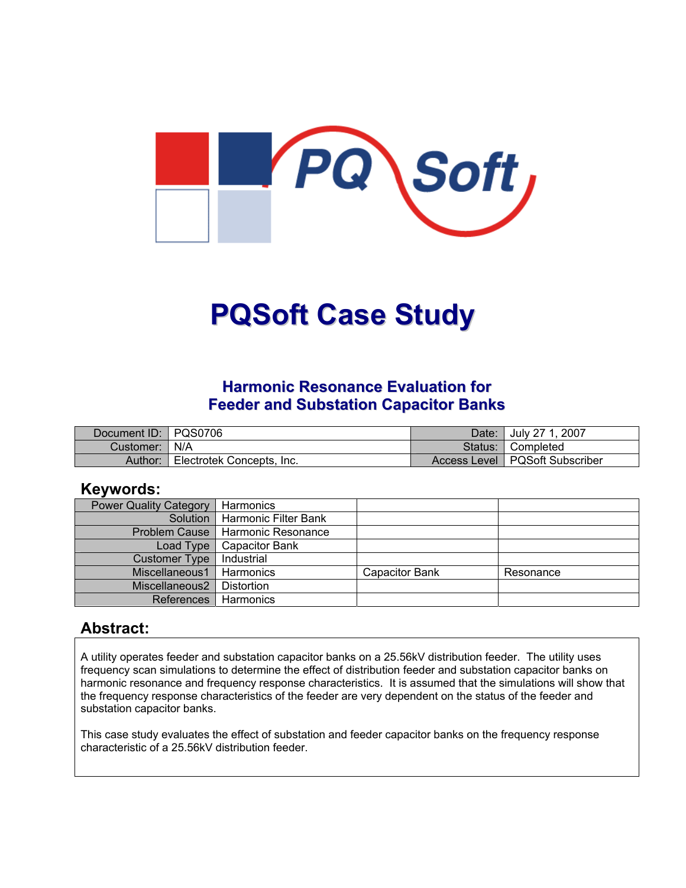

# **PQSoft Case Study**

#### **Harmonic Resonance Evaluation for Feeder and Substation Capacitor Banks**

| Document ID: PQS0706 |                           | Date:   | July 27 1, 2007                  |
|----------------------|---------------------------|---------|----------------------------------|
| Customer:   N/A      |                           | Status: | <sup>1</sup> Completed           |
| Author:              | Electrotek Concepts, Inc. |         | Access Level   PQSoft Subscriber |

#### **Keywords:**

| <b>Power Quality Category</b> | Harmonics                          |                       |           |
|-------------------------------|------------------------------------|-----------------------|-----------|
|                               | Solution   Harmonic Filter Bank    |                       |           |
|                               | Problem Cause   Harmonic Resonance |                       |           |
| Load Type                     | <b>Capacitor Bank</b>              |                       |           |
| <b>Customer Type</b>          | Industrial                         |                       |           |
| Miscellaneous1                | Harmonics                          | <b>Capacitor Bank</b> | Resonance |
| Miscellaneous2                | Distortion                         |                       |           |
| <b>References</b>             | Harmonics                          |                       |           |

#### **Abstract:**

A utility operates feeder and substation capacitor banks on a 25.56kV distribution feeder. The utility uses frequency scan simulations to determine the effect of distribution feeder and substation capacitor banks on harmonic resonance and frequency response characteristics. It is assumed that the simulations will show that the frequency response characteristics of the feeder are very dependent on the status of the feeder and substation capacitor banks.

This case study evaluates the effect of substation and feeder capacitor banks on the frequency response characteristic of a 25.56kV distribution feeder.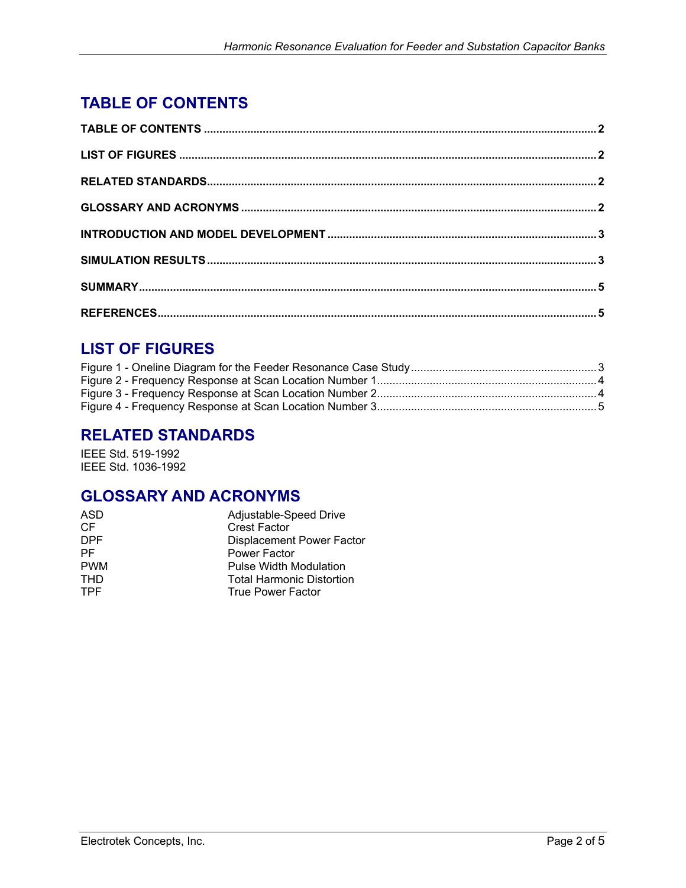## <span id="page-1-0"></span>**TABLE OF CONTENTS**

## **LIST OF FIGURES**

## **RELATED STANDARDS**

IEEE Std. 519-1992 IEEE Std. 1036-1992

## **GLOSSARY AND ACRONYMS**

| ASD        | Adjustable-Speed Drive           |
|------------|----------------------------------|
| CF         | <b>Crest Factor</b>              |
| <b>DPF</b> | <b>Displacement Power Factor</b> |
| <b>PF</b>  | Power Factor                     |
| <b>PWM</b> | Pulse Width Modulation           |
| <b>THD</b> | <b>Total Harmonic Distortion</b> |
| <b>TPF</b> | True Power Factor                |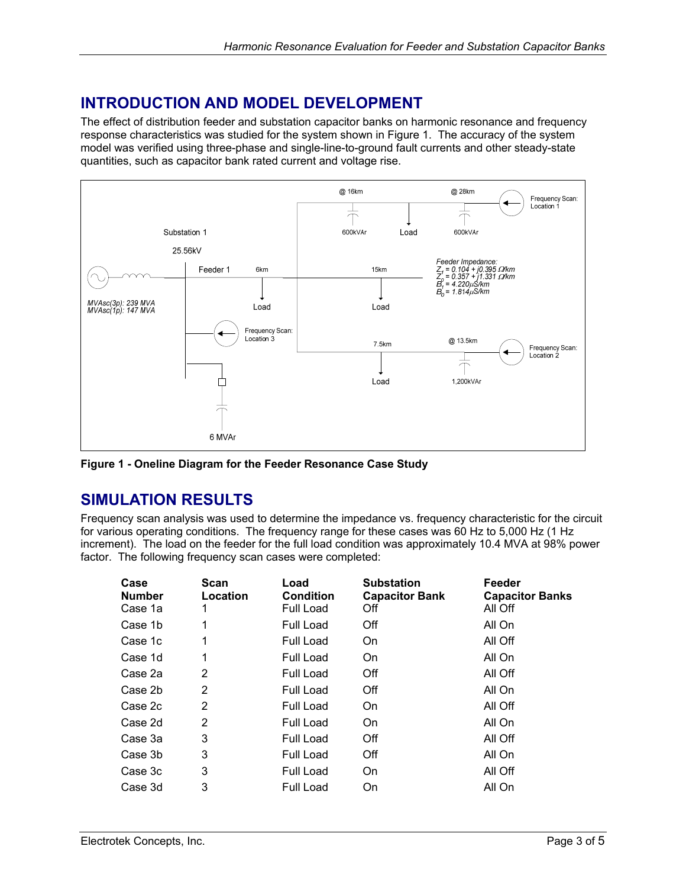## <span id="page-2-0"></span>**INTRODUCTION AND MODEL DEVELOPMENT**

The effect of distribution feeder and substation capacitor banks on harmonic resonance and frequency response characteristics was studied for the system shown in [Figure 1.](#page-2-1) The accuracy of the system model was verified using three-phase and single-line-to-ground fault currents and other steady-state quantities, such as capacitor bank rated current and voltage rise.

<span id="page-2-1"></span>

**Figure 1 - Oneline Diagram for the Feeder Resonance Case Study**

## **SIMULATION RESULTS**

Frequency scan analysis was used to determine the impedance vs. frequency characteristic for the circuit for various operating conditions. The frequency range for these cases was 60 Hz to 5,000 Hz (1 Hz increment). The load on the feeder for the full load condition was approximately 10.4 MVA at 98% power factor. The following frequency scan cases were completed:

| Scan<br>Location | Load<br><b>Condition</b><br><b>Full Load</b> | <b>Substation</b><br><b>Capacitor Bank</b><br>Off | Feeder<br><b>Capacitor Banks</b><br>All Off |
|------------------|----------------------------------------------|---------------------------------------------------|---------------------------------------------|
| 1                | Full Load                                    | Off                                               | All On                                      |
| 1                | Full Load                                    | On                                                | All Off                                     |
| 1                | Full Load                                    | On.                                               | All On                                      |
| $\overline{2}$   | Full Load                                    | Off                                               | All Off                                     |
| $\overline{2}$   | Full Load                                    | Off                                               | All On                                      |
| $\overline{2}$   | Full Load                                    | On.                                               | All Off                                     |
| $\overline{2}$   | Full Load                                    | On                                                | All On                                      |
| 3                | Full Load                                    | Off                                               | All Off                                     |
| 3                | Full Load                                    | Off                                               | All On                                      |
| 3                | Full Load                                    | On                                                | All Off                                     |
| 3                | Full Load                                    | On                                                | All On                                      |
|                  |                                              |                                                   |                                             |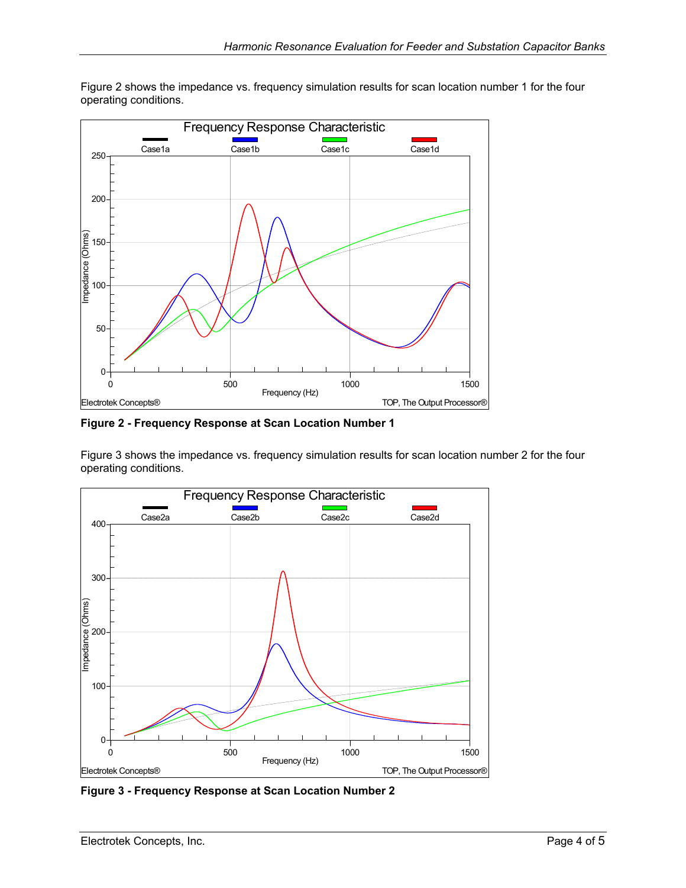<span id="page-3-1"></span>

<span id="page-3-0"></span>[Figure 2](#page-3-1) shows the impedance vs. frequency simulation results for scan location number 1 for the four operating conditions.

**Figure 2 - Frequency Response at Scan Location Number 1** 

[Figure 3](#page-3-2) shows the impedance vs. frequency simulation results for scan location number 2 for the four operating conditions.

<span id="page-3-2"></span>

**Figure 3 - Frequency Response at Scan Location Number 2**